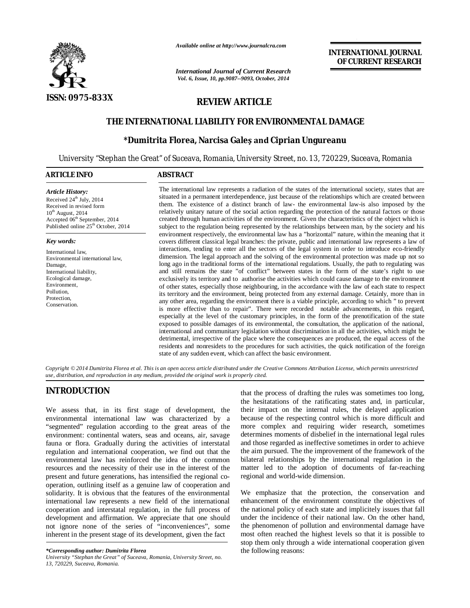

*Available online at http://www.journalcra.com*

*International Journal of Current Research Vol. 6, Issue, 10, pp.9087--9093, October, 2014*

# **INTERNATIONAL JOURNAL OF CURRENT RESEARCH**

# **REVIEW ARTICLE**

# **THE INTERNATIONAL LIABILITY FOR ENVIRONMENTAL DAMAGE**

# **\*Dumitrita Florea, Narcisa Galeş and Ciprian Ungureanu**

University "Stephan the Great" of Suceava, Romania, University Street, no. 13, 720229, Suceava, Romania 1

#### **ARTICLE INFO ABSTRACT**

*Article History:* Received 24<sup>th</sup> July, 2014 Received in revised form  $10<sup>th</sup>$  August, 2014 Accepted 06<sup>th</sup> September, 2014 Published online  $25<sup>th</sup>$  October, 2014

#### *Key words:*

International law, Environmental international law, Damage, International liability, Ecological damage, Environment, Pollution, Protection, Conservation.

The international law represents a radiation of the states of the international society, states that are situated in a permanent interdependence, just because of the relationships which are created between them. The existence of a distinct branch of law- the environmental law-is also imposed by the relatively unitary nature of the social action regarding the protection of the natural factors or those created through human activities of the environment. Given the characteristics of the object which is subject to the regulation being represented by the relationships between man, by the society and his environment respectively, the environmental law has a "horizontal" nature, within the meaning that it covers different classical legal branches: the private, public and international law represents a law of interactions, tending to enter all the sectors of the legal system in order to introduce eco-friendly dimension. The legal approach and the solving of the environmental protection was made up not so long ago in the traditional forms of the international regulations. Usually, the path to regulating was and still remains the state "of conflict" between states in the form of the state's right to use exclusively its territory and to authorise the activities which could cause damage to the environment of other states, especially those neighbouring, in the accordance with the law of each state to respect its territory and the environment, being protected from any external damage. Cetainly, more than in any other area, regarding the environment there is a viable principle, according to which " to prevent is more effective than to repair". There were recorded notable advancements, in this regard, especially at the level of the customary principles, in the form of the prenotification of the state exposed to possible damages of its environmental, the consultation, the application of the national, international and communitary legislation without discrimination in all the activities, which might be detrimental, irrespective of the place where the consequences are produced, the equal access of the residents and nonresidets to the procedures for such activities, the quick notification of the foreign state of any sudden event, which can affect the basic environment.

*Copyright © 2014 Dumitrita Florea et al. This is an open access article distributed under the Creative Commons Attribution License, which permits unrestricted use, distribution, and reproduction in any medium, provided the original work is properly cited.*

# **INTRODUCTION**

We assess that, in its first stage of development, the environmental international law was characterized by a "segmented" regulation according to the great areas of the environment: continental waters, seas and oceans, air, savage fauna or flora. Gradually during the activities of interstatal regulation and international cooperation, we find out that the environmental law has reinforced the idea of the common resources and the necessity of their use in the interest of the present and future generations, has intensified the regional cooperation, outlining itself as a genuine law of cooperation and solidarity. It is obvious that the features of the environmental international law represents a new field of the international cooperation and interstatal regulation, in the full process of development and affirmation. We appreciate that one should not ignore none of the series of "inconveniences", some inherent in the present stage of its development, given the fact

that the process of drafting the rules was sometimes too long, the hesitatations of the ratificating states and, in particular, their impact on the internal rules, the delayed application because of the respecting control which is more difficult and more complex and requiring wider research, sometimes determines moments of disbelief in the international legal rules and those regarded as ineffective sometimes in order to achieve the aim pursued. The the improvement of the framework of the bilateral relationships by the international regulation in the matter led to the adoption of documents of far-reaching regional and world-wide dimension.

We emphasize that the protection, the conservation and enhancement of the environment constitute the objectives of the national policy of each state and implicitely issues that fall under the incidence of their national law. On the other hand, the phenomenon of pollution and environmental damage have most often reached the highest levels so that it is possible to stop them only through a wide international cooperation given the following reasons:

*<sup>\*</sup>Corresponding author: Dumitrita Florea*

*University "Stephan the Great" of Suceava, Romania, University Street, no. 13, 720229, Suceava, Romania.*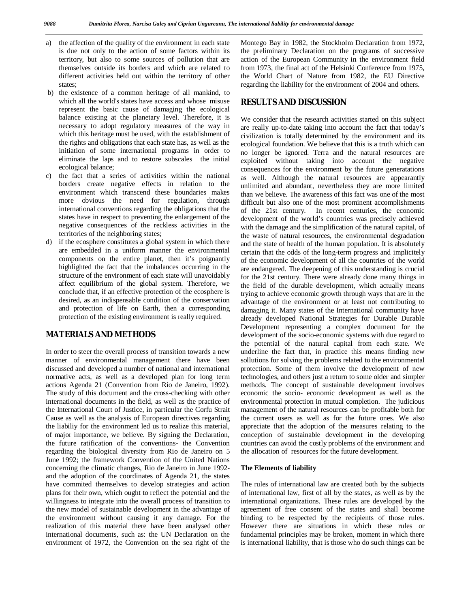- a) the affection of the quality of the environment in each state is due not only to the action of some factors within its territory, but also to some sources of pollution that are themselves outside its borders and which are related to different activities held out within the territory of other states;
- b) the existence of a common heritage of all mankind, to which all the world's states have access and whose misuse represent the basic cause of damaging the ecological balance existing at the planetary level. Therefore, it is necessary to adopt regulatory measures of the way in which this heritage must be used, with the establishment of the rights and obligations that each state has, as well as the initiation of some international programs in order to eliminate the laps and to restore subscales the initial ecological balance;
- c) the fact that a series of activities within the national borders create negative effects in relation to the environment which transcend these boundaries makes more obvious the need for regulation, through international conventions regarding the obligations that the states have in respect to preventing the enlargement of the negative consequences of the reckless activities in the territories of the neighboring states;
- d) if the ecosphere constitutes a global system in which there are embedded in a uniform manner the environmental components on the entire planet, then it's poignantly highlighted the fact that the imbalances occurring in the structure of the environment of each state will unavoidably affect equilibrium of the global system. Therefore, we conclude that, if an effective protection of the ecosphere is desired, as an indispensable condition of the conservation and protection of life on Earth, then a corresponding protection of the existing environment is really required.

# **MATERIALS AND METHODS**

In order to steer the overall process of transition towards a new manner of environmental management there have been discussed and developed a number of national and international normative acts, as well as a developed plan for long term actions Agenda 21 (Convention from Rio de Janeiro, 1992). The study of this document and the cross-checking with other international documents in the field, as well as the practice of the International Court of Justice, in particular the Corfu Strait Cause as well as the analysis of European directives regarding the liabiliy for the environment led us to realize this material, of major importance, we believe. By signing the Declaration, the future ratification of the conventions- the Convention regarding the biological diversity from Rio de Janeiro on 5 June 1992; the framework Convention of the United Nations concerning the climatic changes, Rio de Janeiro in June 1992 and the adoption of the coordinates of Agenda 21, the states have commited themselves to develop strategies and action plans for their own, which ought to reflect the potential and the willingness to integrate into the overall process of transition to the new model of sustainable development in the advantage of the environment without causing it any damage. For the realization of this material there have been analysed other international documents, such as: the UN Declaration on the environment of 1972, the Convention on the sea right of the

Montego Bay in 1982, the Stockholm Declaration from 1972, the preliminary Declaration on the programs of successive action of the European Community in the environment field from 1973, the final act of the Helsinki Conference from 1975, the World Chart of Nature from 1982, the EU Directive regarding the liability for the environment of 2004 and others.

# **RESULTS AND DISCUSSION**

We consider that the research activities started on this subject are really up-to-date taking into account the fact that today's civilization is totally determined by the environment and its ecological foundation. We believe that this is a truth which can no longer be ignored. Terra and the natural resources are exploited without taking into account the negative consequences for the environment by the future generatations as well. Although the natural resources are appearantly unlimited and abundant, nevertheless they are more limited than we believe. The awareness of this fact was one of the most difficult but also one of the most prominent accomplishments of the 21st century. In recent centuries, the economic development of the world's countries was precisely achieved with the damage and the simplification of the natural capital, of the waste of natural resources, the environmental degradation and the state of health of the human population. It is absolutely certain that the odds of the long-term progress and implicitely of the economic development of all the countries of the world are endangered. The deepening of this understanding is crucial for the 21st century. There were already done many things in the field of the durable development, which actually means trying to achieve economic growth through ways that are in the advantage of the environment or at least not contributing to damaging it. Many states of the International community have already developed National Strategies for Durable Durable Development representing a complex document for the development of the socio-economic systems with due regard to the potential of the natural capital from each state. We underline the fact that, in practice this means finding new sollutions for solving the problems related to the environmental protection. Some of them involve the development of new technologies, and others just a return to some older and simpler methods. The concept of sustainable development involves economic the socio- economic development as well as the environmental protection in mutual completion. The judicious management of the natural resources can be profitable both for the current users as well as for the future ones. We also appreciate that the adoption of the measures relating to the conception of sustainable development in the developing countries can avoid the costly problems of the environment and the allocation of resources for the future development.

# **The Elements of liability**

The rules of international law are created both by the subjects of international law, first of all by the states, as well as by the international organizations. These rules are developed by the agreement of free consent of the states and shall become binding to be respected by the recipients of those rules. However there are situations in which these rules or fundamental principles may be broken, moment in which there is international liability, that is those who do such things can be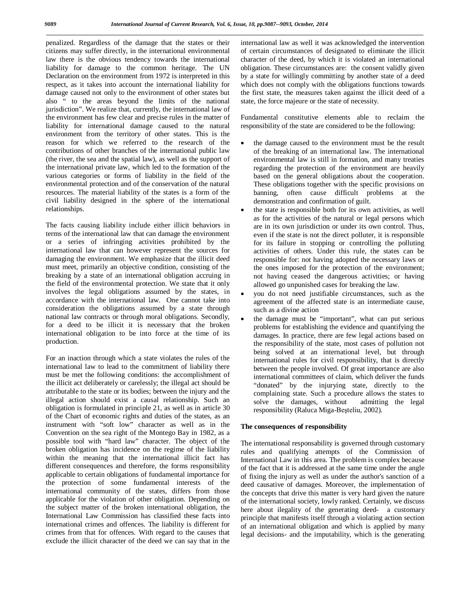penalized. Regardless of the damage that the states or their citizens may suffer directly, in the international environmental law there is the obvious tendency towards the international liability for damage to the common heritage. The UN Declaration on the environment from 1972 is interpreted in this respect, as it takes into account the international liability for damage caused not only to the environment of other states but also " to the areas beyond the limits of the national jurisdiction". We realize that, currently, the international law of the environment has few clear and precise rules in the matter of liability for international damage caused to the natural environment from the territory of other states. This is the reason for which we referred to the research of the contributions of other branches of the international public law (the river, the sea and the spatial law), as well as the support of the international private law, which led to the formation of the various categories or forms of liability in the field of the environmental protection and of the conservation of the natural resources. The material liability of the states is a form of the civil liability designed in the sphere of the international relationships.

The facts causing liability include either illicit behaviors in terms of the international law that can damage the environment or a series of infringing activities prohibited by the international law that can however represent the sources for damaging the environment. We emphasize that the illicit deed must meet, primarily an objective condition, consisting of the breaking by a state of an international obligation accruing in the field of the environmental protection. We state that it only involves the legal obligations assumed by the states, in accordance with the international law. One cannot take into consideration the obligations assumed by a state through national law contracts or through moral obligations. Secondly, for a deed to be illicit it is necessary that the broken international obligation to be into force at the time of its production.

For an inaction through which a state violates the rules of the international law to lead to the commitment of liability there must be met the following conditions: the accomplishment of the illicit act deliberately or carelessly; the illegal act should be attributable to the state or its bodies; between the injury and the illegal action should exist a causal relationship. Such an obligation is formulated in principle 21, as well as in article 30 of the Chart of economic rights and duties of the states, as an instrument with "soft low" character as well as in the Convention on the sea right of the Montego Bay in 1982, as a possible tool with "hard law" character. The object of the broken obligation has incidence on the regime of the liability within the meaning that the international illicit fact has different consequences and therefore, the forms responsibility applicable to certain obligations of fundamental importance for the protection of some fundamental interests of the international community of the states, differs from those applicable for the violation of other obligation. Depending on the subject matter of the broken international obligation, the International Law Commission has classified these facts into international crimes and offences. The liability is different for crimes from that for offences. With regard to the causes that exclude the illicit character of the deed we can say that in the

international law as well it was acknowledged the intervention of certain circumstances of designated to eliminate the illicit character of the deed, by which it is violated an international obligation. These circumstances are: the consent validly given by a state for willingly committing by another state of a deed which does not comply with the obligations functions towards the first state, the measures taken against the illicit deed of a state, the force majeure or the state of necessity.

Fundamental constitutive elements able to reclaim the responsibility of the state are considered to be the following:

- the damage caused to the environment must be the result of the breaking of an international law. The international environmental law is still in formation, and many treaties regarding the protection of the environment are heavily based on the general obligations about the cooperation. These obligations together with the specific provisions on banning, often cause difficult problems at the demonstration and confirmation of guilt.
- the state is responsible both for its own activities, as well as for the activities of the natural or legal persons which are in its own jurisdiction or under its own control. Thus, even if the state is not the direct polluter, it is responsible for its failure in stopping or controlling the polluting activities of others. Under this rule, the states can be responsible for: not having adopted the necessary laws or the ones imposed for the protection of the environment; not having ceased the dangerous activities; or having allowed go unpunished cases for breaking the law.
- you do not need justifiable circumstances, such as the agreement of the affected state is an intermediate cause, such as a divine action
- the damage must be "important", what can put serious problems for establishing the evidence and quantifying the damages. In practice, there are few legal actions based on the responsibility of the state, most cases of pollution not being solved at an international level, but through international rules for civil responsibility, that is directly between the people involved. Of great importance are also international committees of claim, which deliver the funds "donated" by the injurying state, directly to the complaining state. Such a procedure allows the states to solve the damages, without admitting the legal responsibility (Raluca Miga-Beşteliu, 2002).

## **The consequences of responsibility**

The international responsability is governed through customary rules and qualifying attempts of the Commission of International Law in this area. The problem is complex because of the fact that it is addressed at the same time under the angle of fixing the injury as well as under the author's sanction of a deed causative of damages. Moreover, the implementation of the concepts that drive this matter is very hard given the nature of the international society, lowly ranked. Certainly, we discuss here about ilegality of the generating deed- a customary principle that manifests itself through a violating action section of an international obligation and which is applied by many legal decisions- and the imputability, which is the generating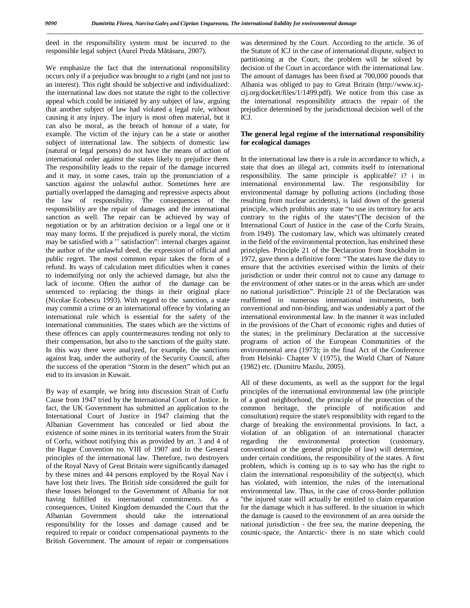deed in the responsibility system must be incurred to the responsible legal subject (Aurel Preda Mătăsaru, 2007).

We emphasize the fact that the international responsibility occurs only if a prejudice was brought to a right (and not just to an interest). This right should be subjective and individualized: the international law does not statute the right to the collective appeal which could be initiated by any subject of law, arguing that another subject of law had violated a legal rule, without causing it any injury. The injury is most often material, but it can also be moral, as the breach of honour of a state, for example. The victim of the injury can be a state or another subject of international law. The subjects of domestic law (natural or legal persons) do not have the means of action of international order against the states likely to prejudice them. The responsibility leads to the repair of the damage incurred and it may, in some cases, train up the pronunciation of a sanction against the unlawful author. Sometimes here are partially overlapped the damaging and repressive aspects about the law of responsibility. The consequences of the responsibility are the repair of damages and the international sanction as well. The repair can be achieved by way of negotiation or by an arbitration decision or a legal one or it may many forms. If the prejudiced is purely moral, the victim may be satisfied with a '' satisfaction": internal charges against the author of the unlawful deed, the expression of official and public regret. The most common repair takes the form of a refund. Its ways of calculation meet dificulties when it comes to indemnifying not only the achieved damage, but also the lack of income. Often the author of the damage can be sentenced to replacing the things in their original place (Nicolae Ecobescu 1993). With regard to the sanction, a state may commit a crime or an international offence by violating an international rule which is essential for the safety of the international communities. The states which are the victims of these offences can apply countermeasures tending not only to their compensation, but also to the sanctions of the guilty state. In this way there were analyzed, for example, the sanctions against Iraq, under the authority of the Security Council, after the success of the operation "Storm in the desert" which put an end to its invasion in Kuwait.

By way of example, we bring into discussion Strait of Corfu Cause from 1947 tried by the International Court of Justice. In fact, the UK Government has submitted an application to the International Court of Justice in 1947 claiming that the Albanian Government has concealed or lied about the existence of some mines in its territorial waters from the Strait of Corfu, without notifying this as provided by art. 3 and 4 of the Hague Convention no. VIII of 1907 and in the General principles of the international law. Therefore, two destroyers of the Royal Navy of Great Britain were significantly damaged by these mines and 44 persons employed by the Royal Nav i have lost their lives. The British side considered the guilt for these losses belonged to the Government of Albania for not having fulfilled its international commitments. As a consequences, United Kingdom demanded the Court that the Albanian Government should take the international responsibility for the losses and damage caused and be required to repair or conduct compensational payments to the British Government. The amount of repair or compensations

was determined by the Court. According to the article. 36 of the Statute of ICJ in the case of international dispute, subject to partitioning at the Court, the problem will be solved by decision of the Court in accordance with the international law. The amount of damages has been fixed at 700,000 pounds that Albania was obliged to pay to Great Britain (http://www.icjcij.org/docket/files/1/1499.pdf). We notice from this case as the international responsibility attracts the repair of the prejudice determined by the jurisdictional decision well of the ICJ.

## **The general legal regime of the international responsibility for ecological damages**

In the international law there is a rule in accordance to which, a state that does an illegal act, commits itself to international responsibility. The same principle is applicable? i? i in international environmental law. The responsibility for environmental damage by polluting actions (including those resulting from nuclear accidents), is laid down of the general principle, which prohibits any state "to use its territory for acts contrary to the rights of the states"(The decision of the International Court of Justice in the case of the Corfu Straits, from 1949). The customary law, which was ultimately created in the field of the environmental protection, has enshrined these principles. Principle 21 of the Declaration from Stockholm in 1972, gave them a definitive form: "The states have the duty to ensure that the activities exercised within the limits of their jurisdiction or under their control not to cause any damage to the environment of other states or in the areas which are under no national jurisdiction". Principle 21 of the Declaration was reaffirmed in numerous international instruments, both conventional and non-binding, and was undeniably a part of the international environmental law. In the manner it was included in the provisions of the Chart of economic rights and duties of the states; in the preliminary Declaration at the successive programs of action of the European Communities of the environmental area (1973); in the final Act of the Conference from Helsinki- Chapter V (1975), the World Chart of Nature (1982) etc. (Dumitru Mazilu, 2005).

All of these documents, as well as the support for the legal principles of the international environmental law (the principle of a good neighborhood, the principle of the protection of the common heritage, the principle of notification and consultation) require the state's responsibility with regard to the charge of breaking the environmental provisions. In fact, a violation of an obligation of an international character regarding the environmental protection (customary, conventional or the general principle of law) will determine, under certain conditions, the responsibility of the states. A first problem, which is coming up is to say who has the right to claim the international responsibility of the subject(s), which has violated, with intention, the rules of the international environmental law. Thus, in the case of cross-border pollution "the injured state will actually be entitled to claim reparation for the damage which it has suffered. In the situation in which the damage is caused to the environment of an area outside the national jurisdiction - the free sea, the marine deepening, the cosmic-space, the Antarctic- there is no state which could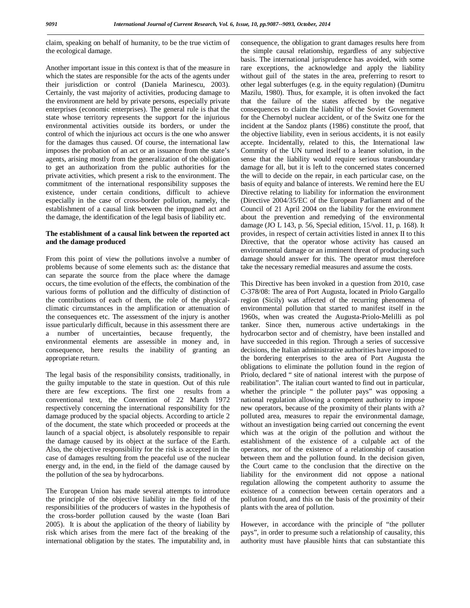claim, speaking on behalf of humanity, to be the true victim of the ecological damage.

Another important issue in this context is that of the measure in which the states are responsible for the acts of the agents under their jurisdiction or control (Daniela Marinescu, 2003). Certainly, the vast majority of activities, producing damage to the environment are held by private persons, especially private enterprises (economic enterprises). The general rule is that the state whose territory represents the support for the injurious environmental activities outside its borders, or under the control of which the injurious act occurs is the one who answer for the damages thus caused. Of course, the international law imposes the probation of an act or an issuance from the state's agents, arising mostly from the generalization of the obligation to get an authorization from the public authorities for the private activities, which present a risk to the environment. The commitment of the international responsibility supposes the existence, under certain conditions, difficult to achieve especially in the case of cross-border pollution, namely, the establishment of a causal link between the impugned act and the damage, the identification of the legal basis of liability etc.

## **The establishment of a causal link between the reported act and the damage produced**

From this point of view the pollutions involve a number of problems because of some elements such as: the distance that can separate the source from the place where the damage occurs, the time evolution of the effects, the combination of the various forms of pollution and the difficulty of distinction of the contributions of each of them, the role of the physicalclimatic circumstances in the amplification or attenuation of the consequences etc. The assessment of the injury is another issue particularly difficult, because in this assessment there are a number of uncertainties, because frequently, the environmental elements are assessible in money and, in consequence, here results the inability of granting an appropriate return.

The legal basis of the responsibility consists, traditionally, in the guilty imputable to the state in question. Out of this rule there are few exceptions. The first one results from a conventional text, the Convention of 22 March 1972 respectively concerning the international responsibility for the damage produced by the spacial objects. According to article 2 of the document, the state which proceeded or proceeds at the launch of a spacial object, is absolutely responsible to repair the damage caused by its object at the surface of the Earth. Also, the objective responsibility for the risk is accepted in the case of damages resulting from the peaceful use of the nuclear energy and, in the end, in the field of the damage caused by the pollution of the sea by hydrocarbons.

The European Union has made several attempts to introduce the principle of the objective liability in the field of the responsibilities of the producers of wastes in the hypothesis of the cross-border pollution caused by the waste (Ioan Bari 2005). It is about the application of the theory of liability by risk which arises from the mere fact of the breaking of the international obligation by the states. The imputability and, in

consequence, the obligation to grant damages results here from the simple causal relationship, regardless of any subjective basis. The international jurisprudence has avoided, with some rare exceptions, the acknowledge and apply the liability without guil of the states in the area, preferring to resort to other legal subterfuges (e.g. in the equity regulation) (Dumitru Mazilu, 1980). Thus, for example, it is often invoked the fact that the failure of the states affected by the negative consequences to claim the liability of the Soviet Government for the Chernobyl nuclear accident, or of the Switz one for the incident at the Sandoz plants (1986) constitute the proof, that the objective liability, even in serious accidents, it is not easily accepte. Incidentally, related to this, the International law Commity of the UN turned itself to a leaner solution, in the sense that the liability would require serious transboundary damage for all, but it is left to the concerned states concerned the will to decide on the repair, in each particular case, on the basis of equity and balance of interests. We remind here the EU Directive relating to liability for information the environment (Directive 2004/35/EC of the European Parliament and of the Council of 21 April 2004 on the liability for the environment about the prevention and remedying of the environmental damage (JO L 143, p. 56, Special edition, 15/vol. 11, p. 168). It provides, in respect of certain activities listed in annex II to this Directive, that the operator whose activity has caused an environmental damage or an imminent threat of producing such damage should answer for this. The operator must therefore take the necessary remedial measures and assume the costs.

This Directive has been invoked in a question from 2010, case C-378/08: The area of Port Augusta, located in Priolo Gargallo region (Sicily) was affected of the recurring phenomena of environmental pollution that started to manifest itself in the 1960s, when was created the Augusta-Priolo-Melilli as pol tanker. Since then, numerous active undertakings in the hydrocarbon sector and of chemistry, have been installed and have succeeded in this region. Through a series of successive decisions, the Italian administrative authorities have imposed to the bordering enterprises to the area of Port Augusta the obligations to eliminate the pollution found in the region of Priolo, declared " site of national interest with the purpose of reabilitation". The italian court wanted to find out in particular, whether the principle " the polluter pays" was opposing a national regulation allowing a competent authority to impose new operators, because of the proximity of their plants with a? polluted area, measures to repair the environmental damage, without an investigation being carried out concerning the event which was at the origin of the pollution and without the establishment of the existence of a culpable act of the operators, nor of the existence of a relationship of causation between them and the pollution found. In the decision given, the Court came to the conclusion that the directive on the liability for the environment did not oppose a national regulation allowing the competent authority to assume the existence of a connection between certain operators and a pollution found, and this on the basis of the proximity of their plants with the area of pollution.

However, in accordance with the principle of "the polluter pays", in order to presume such a relationship of causality, this authority must have plausible hints that can substantiate this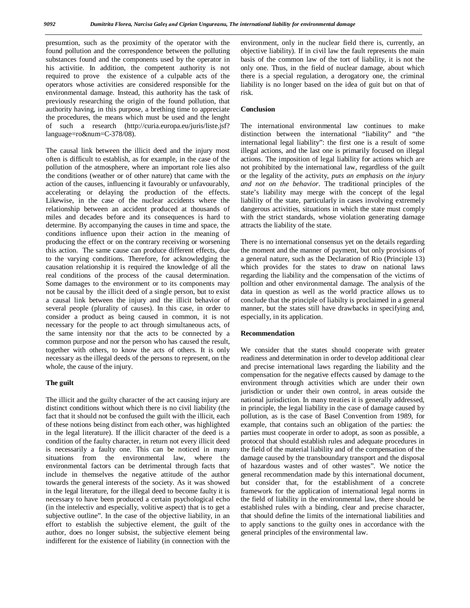presumtion, such as the proximity of the operator with the found pollution and the correspondence between the polluting substances found and the components used by the operator in his activitie. In addition, the competent authority is not required to prove the existence of a culpable acts of the operators whose activities are considered responsible for the environmental damage. Instead, this authority has the task of previously researching the origin of the found pollution, that authority having, in this purpose, a brething time to appreciate the procedures, the means which must be used and the lenght of such a research (http://curia.europa.eu/juris/liste.jsf? language=ro&num=C-378/08).

The causal link between the illicit deed and the injury most often is difficult to establish, as for example, in the case of the pollution of the atmosphere, where an important role lies also the conditions (weather or of other nature) that came with the action of the causes, influencing it favourably or unfavourably, accelerating or delaying the production of the effects. Likewise, in the case of the nuclear accidents where the relationship between an accident produced at thousands of miles and decades before and its consequences is hard to determine. By accompanying the causes in time and space, the conditions influence upon their action in the meaning of producing the effect or on the contrary receiving or worsening this action. The same cause can produce different effects, due to the varying conditions. Therefore, for acknowledging the causation relationship it is required the knowledge of all the real conditions of the process of the causal determination. Some damages to the environment or to its components may not be causal by the illicit deed of a single person, but to exist a causal link between the injury and the illicit behavior of several people (plurality of causes). In this case, in order to consider a product as being caused in common, it is not necessary for the people to act through simultaneous acts, of the same intensity nor that the acts to be connected by a common purpose and nor the person who has caused the result, together with others, to know the acts of others. It is only necessary as the illegal deeds of the persons to represent, on the whole, the cause of the injury.

## **The guilt**

The illicit and the guilty character of the act causing injury are distinct conditions without which there is no civil liability (the fact that it should not be confused the guilt with the illicit, each of these notions being distinct from each other, was highlighted in the legal literature). If the illicit character of the deed is a condition of the faulty character, in return not every illicit deed is necessarily a faulty one. This can be noticed in many situations from the environmental law, where the environmental factors can be detrimental through facts that include in themselves the negative attitude of the author towards the general interests of the society. As it was showed in the legal literature, for the illegal deed to become faulty it is necessary to have been produced a certain psychological echo (in the intelectiv and especially, volitive aspect) that is to get a subjective outline". In the case of the objective liability, in an effort to establish the subjective element, the guilt of the author, does no longer subsist, the subjective element being indifferent for the existence of liability (in connection with the

environment, only in the nuclear field there is, currently, an objective liability). If in civil law the fault represents the main basis of the common law of the tort of liability, it is not the only one. Thus, in the field of nuclear damage, about which there is a special regulation, a derogatory one, the criminal liability is no longer based on the idea of guit but on that of risk.

#### **Conclusion**

The international environmental law continues to make distinction between the international "liability" and "the international legal liability": the first one is a result of some illegal actions, and the last one is primarily focused on illegal actions. The imposition of legal liability for actions which are not prohibited by the international law, regardless of the guilt or the legality of the activity, *puts an emphasis on the injury and not on the behavior*. The traditional principles of the state's liability may merge with the concept of the legal liability of the state, particularly in cases involving extremely dangerous activities, situations in which the state must comply with the strict standards, whose violation generating damage attracts the liability of the state.

There is no international consensus yet on the details regarding the moment and the manner of payment, but only provisions of a general nature, such as the Declaration of Rio (Principle 13) which provides for the states to draw on national laws regarding the liability and the compensation of the victims of polltion and other environmental damage. The analysis of the data in question as well as the world practice allows us to conclude that the principle of liabilty is proclaimed in a general manner, but the states still have drawbacks in specifying and, especially, in its application.

## **Recommendation**

We consider that the states should cooperate with greater readiness and determination in order to develop additional clear and precise international laws regarding the liability and the compensation for the negative effects caused by damage to the environment through activities which are under their own jurisdiction or under their own control, in areas outside the national jurisdiction. In many treaties it is generally addressed, in principle, the legal liability in the case of damage caused by pollution, as is the case of Basel Convention from 1989, for example, that contains such an obligation of the parties: the parties must cooperate in order to adopt, as soon as possible, a protocol that should establish rules and adequate procedures in the field of the material liability and of the compensation of the damage caused by the transboundary transport and the disposal of hazardous wastes and of other wastes". We notice the general recommendation made by this international document, but consider that, for the establishment of a concrete framework for the application of international legal norms in the field of liability in the environmental law, there should be established rules with a binding, clear and precise character, that should define the limits of the international liabilities and to apply sanctions to the guilty ones in accordance with the general principles of the environmental law.